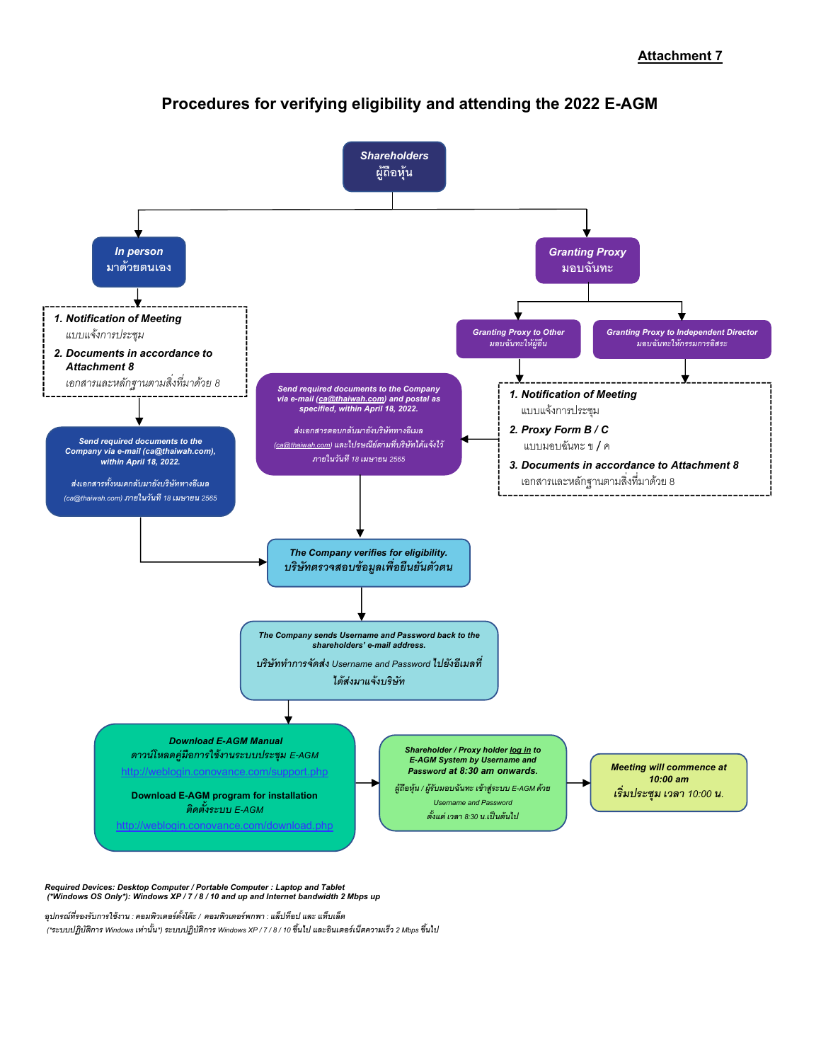

# Procedures for verifying eligibility and attending the 2022 E-AGM

Required Devices: Desktop Computer / Portable Computer : Laptop and Tablet (\*Windows OS Only\*): Windows XP / 7 / 8 / 10 and up and Internet bandwidth 2 Mbps up

อุปกรณ์ที่รองรับการใช้งาน : คอมพิวเตอร์ตั้งโต๊ะ / คอมพิวเตอร์พกพา : แล็ปท็อป และ แท็บเล็ต

(\*ระบบปฏิบัติการ Windows เท่านั้น\*) ระบบปฏิบัติการ Windows XP / 7 / 8 / 10 ขึ้นไป และอินเตอร์เน็ตความเร็ว 2 Mbps ขึ้นไป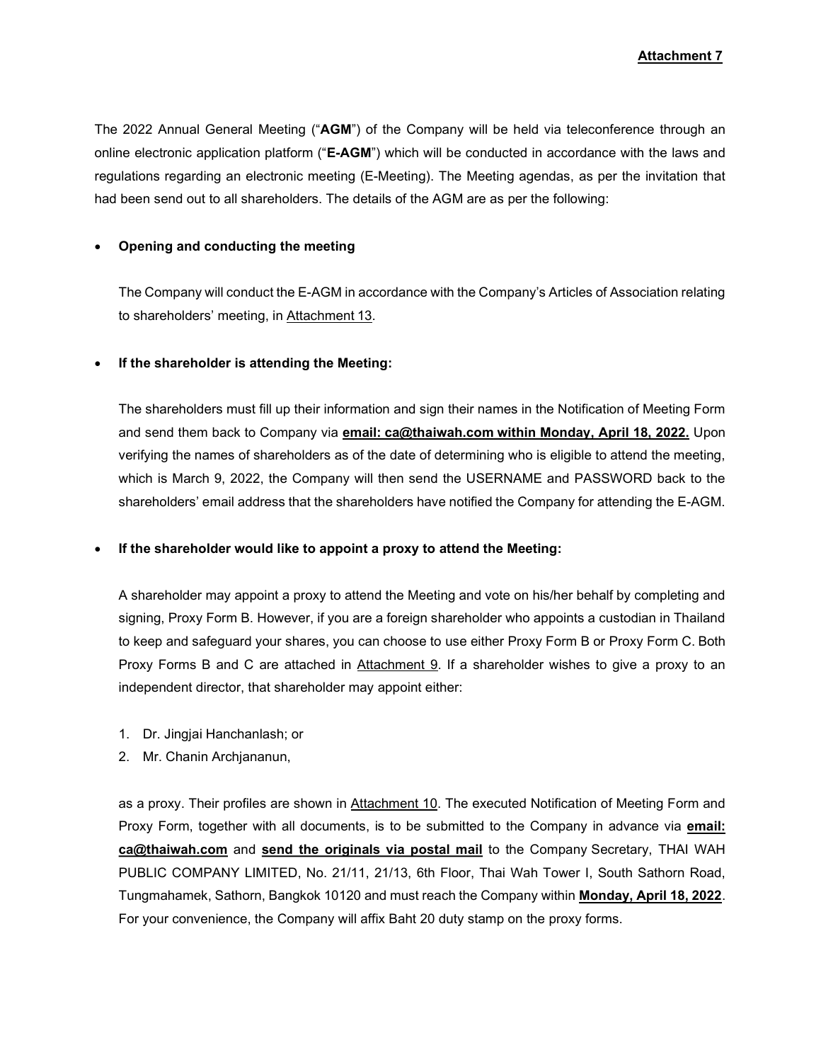## Attachment 7

The 2022 Annual General Meeting ("AGM") of the Company will be held via teleconference through an online electronic application platform ("E-AGM") which will be conducted in accordance with the laws and regulations regarding an electronic meeting (E-Meeting). The Meeting agendas, as per the invitation that had been send out to all shareholders. The details of the AGM are as per the following:

#### Opening and conducting the meeting

The Company will conduct the E-AGM in accordance with the Company's Articles of Association relating to shareholders' meeting, in Attachment 13.

### If the shareholder is attending the Meeting:

The shareholders must fill up their information and sign their names in the Notification of Meeting Form and send them back to Company via email: ca@thaiwah.com within Monday, April 18, 2022. Upon verifying the names of shareholders as of the date of determining who is eligible to attend the meeting, which is March 9, 2022, the Company will then send the USERNAME and PASSWORD back to the shareholders' email address that the shareholders have notified the Company for attending the E-AGM.

#### If the shareholder would like to appoint a proxy to attend the Meeting:

A shareholder may appoint a proxy to attend the Meeting and vote on his/her behalf by completing and signing, Proxy Form B. However, if you are a foreign shareholder who appoints a custodian in Thailand to keep and safeguard your shares, you can choose to use either Proxy Form B or Proxy Form C. Both Proxy Forms B and C are attached in Attachment 9. If a shareholder wishes to give a proxy to an independent director, that shareholder may appoint either:

- 1. Dr. Jingjai Hanchanlash; or
- 2. Mr. Chanin Archjananun,

as a proxy. Their profiles are shown in Attachment 10. The executed Notification of Meeting Form and Proxy Form, together with all documents, is to be submitted to the Company in advance via email: ca@thaiwah.com and send the originals via postal mail to the Company Secretary, THAI WAH PUBLIC COMPANY LIMITED, No. 21/11, 21/13, 6th Floor, Thai Wah Tower I, South Sathorn Road, Tungmahamek, Sathorn, Bangkok 10120 and must reach the Company within Monday, April 18, 2022. For your convenience, the Company will affix Baht 20 duty stamp on the proxy forms.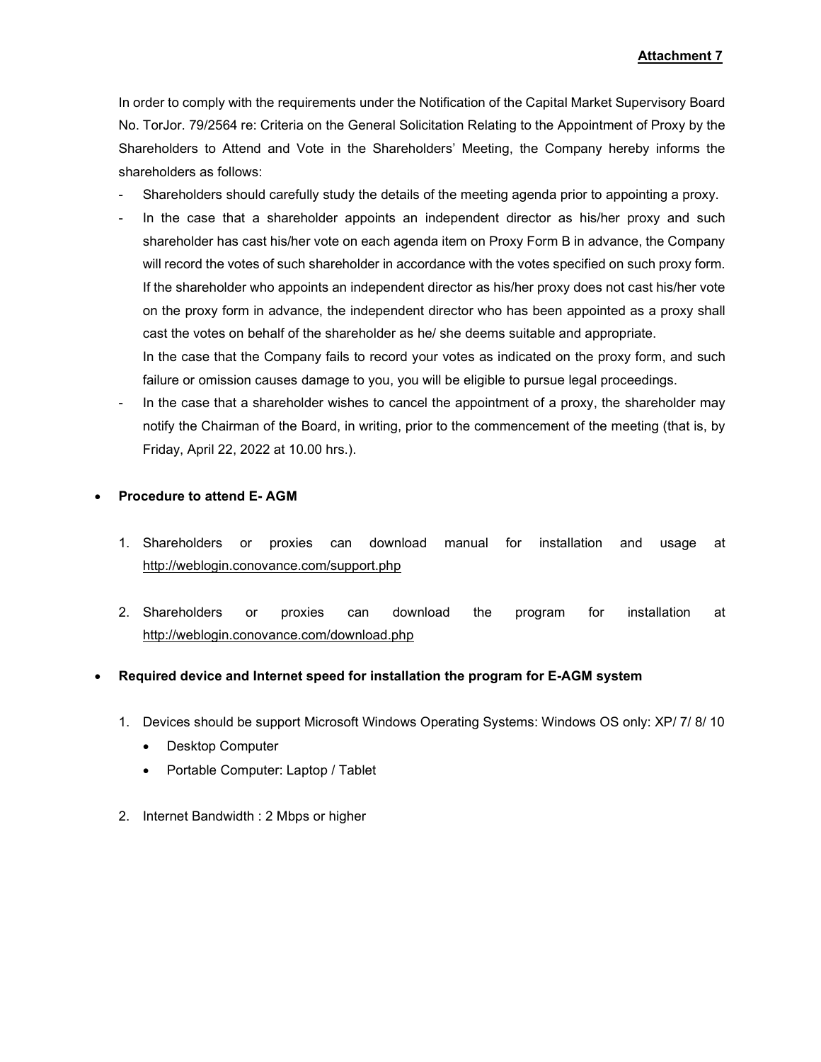In order to comply with the requirements under the Notification of the Capital Market Supervisory Board No. TorJor. 79/2564 re: Criteria on the General Solicitation Relating to the Appointment of Proxy by the Shareholders to Attend and Vote in the Shareholders' Meeting, the Company hereby informs the shareholders as follows:

- Shareholders should carefully study the details of the meeting agenda prior to appointing a proxy.
- In the case that a shareholder appoints an independent director as his/her proxy and such shareholder has cast his/her vote on each agenda item on Proxy Form B in advance, the Company will record the votes of such shareholder in accordance with the votes specified on such proxy form. If the shareholder who appoints an independent director as his/her proxy does not cast his/her vote on the proxy form in advance, the independent director who has been appointed as a proxy shall cast the votes on behalf of the shareholder as he/ she deems suitable and appropriate.

In the case that the Company fails to record your votes as indicated on the proxy form, and such failure or omission causes damage to you, you will be eligible to pursue legal proceedings.

In the case that a shareholder wishes to cancel the appointment of a proxy, the shareholder may notify the Chairman of the Board, in writing, prior to the commencement of the meeting (that is, by Friday, April 22, 2022 at 10.00 hrs.).

### Procedure to attend E- AGM

- 1. Shareholders or proxies can download manual for installation and usage at http://weblogin.conovance.com/support.php
- 2. Shareholders or proxies can download the program for installation at http://weblogin.conovance.com/download.php

## Required device and Internet speed for installation the program for E-AGM system

- 1. Devices should be support Microsoft Windows Operating Systems: Windows OS only: XP/ 7/ 8/ 10
	- Desktop Computer
	- Portable Computer: Laptop / Tablet
- 2. Internet Bandwidth : 2 Mbps or higher